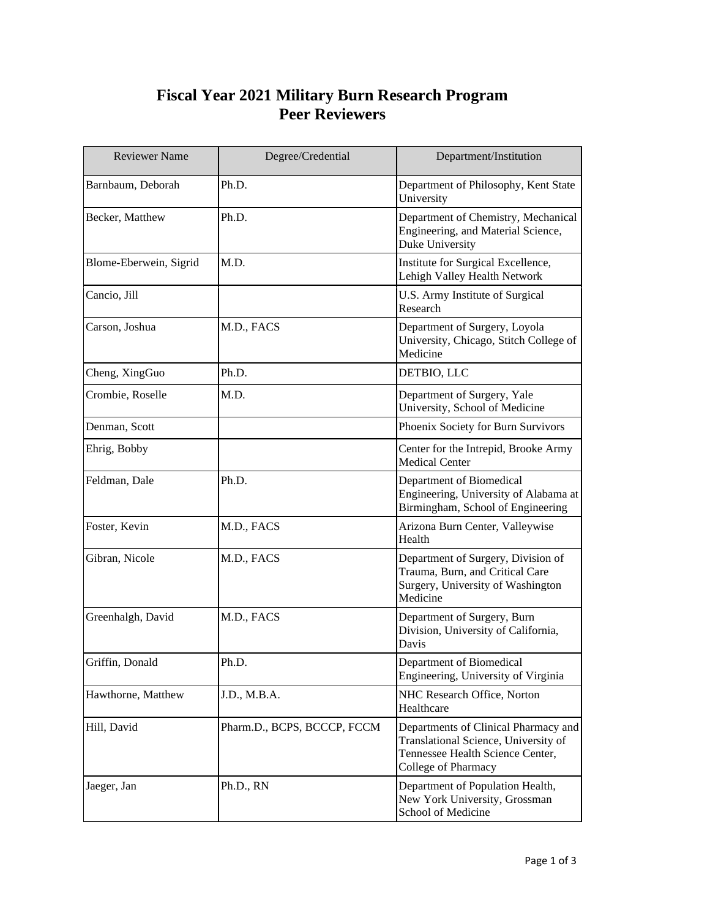## **Fiscal Year 2021 Military Burn Research Program Peer Reviewers**

| <b>Reviewer Name</b>   | Degree/Credential           | Department/Institution                                                                                                                  |  |
|------------------------|-----------------------------|-----------------------------------------------------------------------------------------------------------------------------------------|--|
| Barnbaum, Deborah      | Ph.D.                       | Department of Philosophy, Kent State<br>University                                                                                      |  |
| Becker, Matthew        | Ph.D.                       | Department of Chemistry, Mechanical<br>Engineering, and Material Science,<br>Duke University                                            |  |
| Blome-Eberwein, Sigrid | M.D.                        | Institute for Surgical Excellence,<br>Lehigh Valley Health Network                                                                      |  |
| Cancio, Jill           |                             | U.S. Army Institute of Surgical<br>Research                                                                                             |  |
| Carson, Joshua         | M.D., FACS                  | Department of Surgery, Loyola<br>University, Chicago, Stitch College of<br>Medicine                                                     |  |
| Cheng, XingGuo         | Ph.D.                       | DETBIO, LLC                                                                                                                             |  |
| Crombie, Roselle       | M.D.                        | Department of Surgery, Yale<br>University, School of Medicine                                                                           |  |
| Denman, Scott          |                             | Phoenix Society for Burn Survivors                                                                                                      |  |
| Ehrig, Bobby           |                             | Center for the Intrepid, Brooke Army<br><b>Medical Center</b>                                                                           |  |
| Feldman, Dale          | Ph.D.                       | Department of Biomedical<br>Engineering, University of Alabama at<br>Birmingham, School of Engineering                                  |  |
| Foster, Kevin          | M.D., FACS                  | Arizona Burn Center, Valleywise<br>Health                                                                                               |  |
| Gibran, Nicole         | M.D., FACS                  | Department of Surgery, Division of<br>Trauma, Burn, and Critical Care<br>Surgery, University of Washington<br>Medicine                  |  |
| Greenhalgh, David      | M.D., FACS                  | Department of Surgery, Burn<br>Division, University of California,<br>Davis                                                             |  |
| Griffin, Donald        | Ph.D.                       | Department of Biomedical<br>Engineering, University of Virginia                                                                         |  |
| Hawthorne, Matthew     | J.D., M.B.A.                | NHC Research Office, Norton<br>Healthcare                                                                                               |  |
| Hill, David            | Pharm.D., BCPS, BCCCP, FCCM | Departments of Clinical Pharmacy and<br>Translational Science, University of<br>Tennessee Health Science Center,<br>College of Pharmacy |  |
| Jaeger, Jan            | Ph.D., RN                   | Department of Population Health,<br>New York University, Grossman<br>School of Medicine                                                 |  |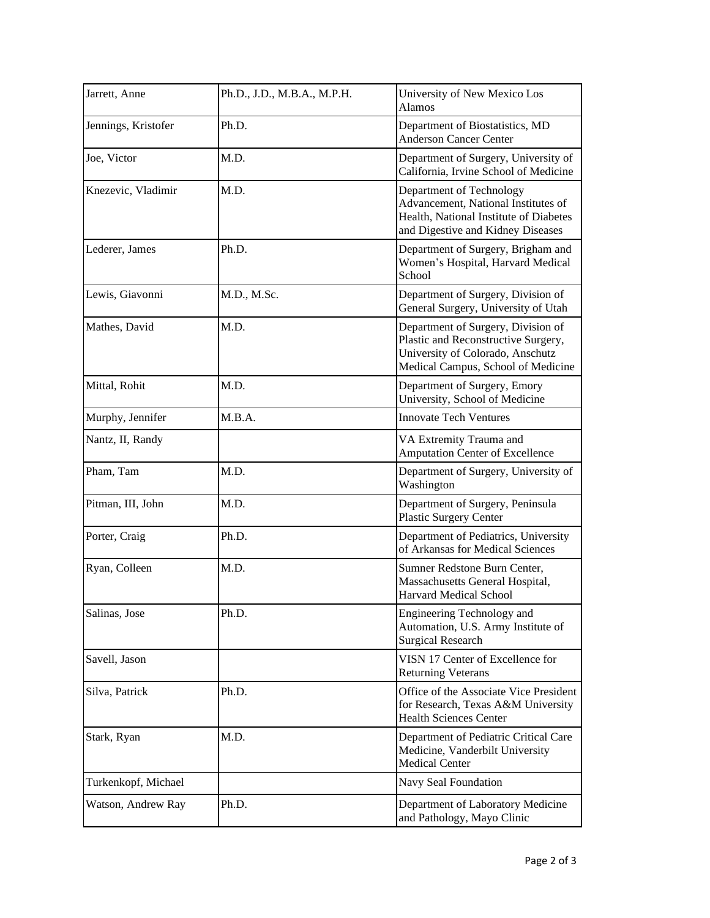| Jarrett, Anne       | Ph.D., J.D., M.B.A., M.P.H. | University of New Mexico Los<br>Alamos                                                                                                              |
|---------------------|-----------------------------|-----------------------------------------------------------------------------------------------------------------------------------------------------|
| Jennings, Kristofer | Ph.D.                       | Department of Biostatistics, MD<br><b>Anderson Cancer Center</b>                                                                                    |
| Joe, Victor         | M.D.                        | Department of Surgery, University of<br>California, Irvine School of Medicine                                                                       |
| Knezevic, Vladimir  | M.D.                        | Department of Technology<br>Advancement, National Institutes of<br>Health, National Institute of Diabetes<br>and Digestive and Kidney Diseases      |
| Lederer, James      | Ph.D.                       | Department of Surgery, Brigham and<br>Women's Hospital, Harvard Medical<br>School                                                                   |
| Lewis, Giavonni     | M.D., M.Sc.                 | Department of Surgery, Division of<br>General Surgery, University of Utah                                                                           |
| Mathes, David       | M.D.                        | Department of Surgery, Division of<br>Plastic and Reconstructive Surgery,<br>University of Colorado, Anschutz<br>Medical Campus, School of Medicine |
| Mittal, Rohit       | M.D.                        | Department of Surgery, Emory<br>University, School of Medicine                                                                                      |
| Murphy, Jennifer    | M.B.A.                      | <b>Innovate Tech Ventures</b>                                                                                                                       |
| Nantz, II, Randy    |                             | VA Extremity Trauma and<br><b>Amputation Center of Excellence</b>                                                                                   |
| Pham, Tam           | M.D.                        | Department of Surgery, University of<br>Washington                                                                                                  |
| Pitman, III, John   | M.D.                        | Department of Surgery, Peninsula<br><b>Plastic Surgery Center</b>                                                                                   |
| Porter, Craig       | Ph.D.                       | Department of Pediatrics, University<br>of Arkansas for Medical Sciences                                                                            |
| Ryan, Colleen       | M.D.                        | Sumner Redstone Burn Center,<br>Massachusetts General Hospital,<br>Harvard Medical School                                                           |
| Salinas, Jose       | Ph.D.                       | Engineering Technology and<br>Automation, U.S. Army Institute of<br><b>Surgical Research</b>                                                        |
| Savell, Jason       |                             | VISN 17 Center of Excellence for<br><b>Returning Veterans</b>                                                                                       |
| Silva, Patrick      | Ph.D.                       | Office of the Associate Vice President<br>for Research, Texas A&M University<br><b>Health Sciences Center</b>                                       |
| Stark, Ryan         | M.D.                        | Department of Pediatric Critical Care<br>Medicine, Vanderbilt University<br><b>Medical Center</b>                                                   |
| Turkenkopf, Michael |                             | Navy Seal Foundation                                                                                                                                |
| Watson, Andrew Ray  | Ph.D.                       | Department of Laboratory Medicine<br>and Pathology, Mayo Clinic                                                                                     |